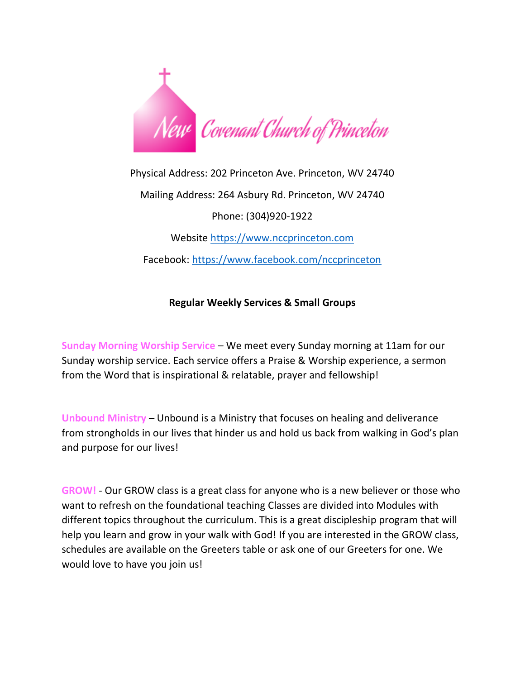

Physical Address: 202 Princeton Ave. Princeton, WV 24740 Mailing Address: 264 Asbury Rd. Princeton, WV 24740 Phone: (304)920-1922 Website [https://www.nccprinceton.com](https://www.nccprinceton.com/) Facebook:<https://www.facebook.com/nccprinceton>

## **Regular Weekly Services & Small Groups**

**Sunday Morning Worship Service** – We meet every Sunday morning at 11am for our Sunday worship service. Each service offers a Praise & Worship experience, a sermon from the Word that is inspirational & relatable, prayer and fellowship!

**Unbound Ministry** – Unbound is a Ministry that focuses on healing and deliverance from strongholds in our lives that hinder us and hold us back from walking in God's plan and purpose for our lives!

**GROW!** - Our GROW class is a great class for anyone who is a new believer or those who want to refresh on the foundational teaching Classes are divided into Modules with different topics throughout the curriculum. This is a great discipleship program that will help you learn and grow in your walk with God! If you are interested in the GROW class, schedules are available on the Greeters table or ask one of our Greeters for one. We would love to have you join us!